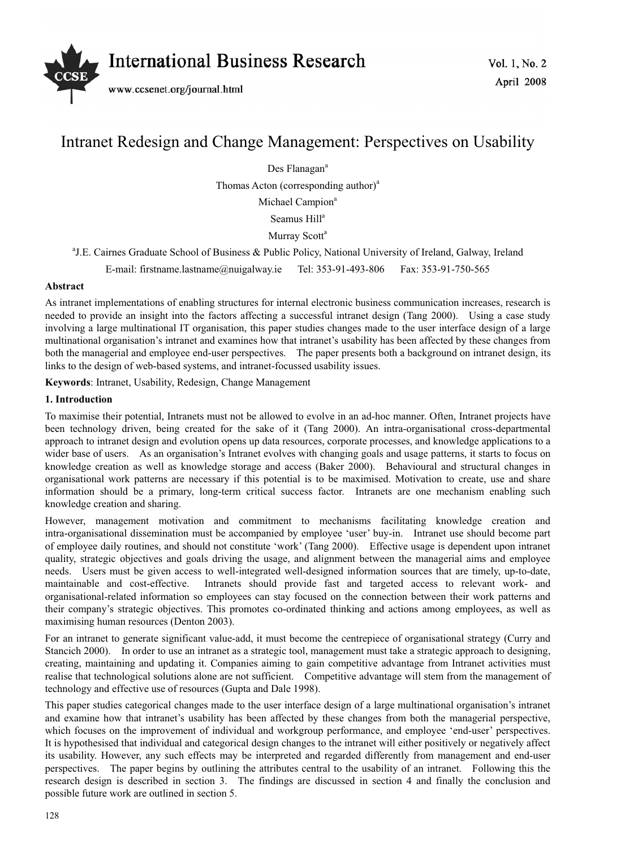

# Intranet Redesign and Change Management: Perspectives on Usability

Des Flanagan<sup>a</sup>

Thomas Acton (corresponding author) $a$ Michael Campion<sup>a</sup>

Seamus Hill<sup>a</sup>

Murray Scott<sup>a</sup>

<sup>a</sup>J.E. Cairnes Graduate School of Business & Public Policy, National University of Ireland, Galway, Ireland

E-mail: firstname.lastname@nuigalway.ie Tel: 353-91-493-806 Fax: 353-91-750-565

# **Abstract**

As intranet implementations of enabling structures for internal electronic business communication increases, research is needed to provide an insight into the factors affecting a successful intranet design (Tang 2000). Using a case study involving a large multinational IT organisation, this paper studies changes made to the user interface design of a large multinational organisation's intranet and examines how that intranet's usability has been affected by these changes from both the managerial and employee end-user perspectives. The paper presents both a background on intranet design, its links to the design of web-based systems, and intranet-focussed usability issues.

**Keywords**: Intranet, Usability, Redesign, Change Management

# **1. Introduction**

To maximise their potential, Intranets must not be allowed to evolve in an ad-hoc manner. Often, Intranet projects have been technology driven, being created for the sake of it (Tang 2000). An intra-organisational cross-departmental approach to intranet design and evolution opens up data resources, corporate processes, and knowledge applications to a wider base of users. As an organisation's Intranet evolves with changing goals and usage patterns, it starts to focus on knowledge creation as well as knowledge storage and access (Baker 2000). Behavioural and structural changes in organisational work patterns are necessary if this potential is to be maximised. Motivation to create, use and share information should be a primary, long-term critical success factor. Intranets are one mechanism enabling such knowledge creation and sharing.

However, management motivation and commitment to mechanisms facilitating knowledge creation and intra-organisational dissemination must be accompanied by employee 'user' buy-in. Intranet use should become part of employee daily routines, and should not constitute 'work' (Tang 2000). Effective usage is dependent upon intranet quality, strategic objectives and goals driving the usage, and alignment between the managerial aims and employee needs. Users must be given access to well-integrated well-designed information sources that are timely, up-to-date, maintainable and cost-effective. Intranets should provide fast and targeted access to relevant work- and organisational-related information so employees can stay focused on the connection between their work patterns and their company's strategic objectives. This promotes co-ordinated thinking and actions among employees, as well as maximising human resources (Denton 2003).

For an intranet to generate significant value-add, it must become the centrepiece of organisational strategy (Curry and Stancich 2000). In order to use an intranet as a strategic tool, management must take a strategic approach to designing, creating, maintaining and updating it. Companies aiming to gain competitive advantage from Intranet activities must realise that technological solutions alone are not sufficient. Competitive advantage will stem from the management of technology and effective use of resources (Gupta and Dale 1998).

This paper studies categorical changes made to the user interface design of a large multinational organisation's intranet and examine how that intranet's usability has been affected by these changes from both the managerial perspective, which focuses on the improvement of individual and workgroup performance, and employee 'end-user' perspectives. It is hypothesised that individual and categorical design changes to the intranet will either positively or negatively affect its usability. However, any such effects may be interpreted and regarded differently from management and end-user perspectives. The paper begins by outlining the attributes central to the usability of an intranet. Following this the research design is described in section 3. The findings are discussed in section 4 and finally the conclusion and possible future work are outlined in section 5.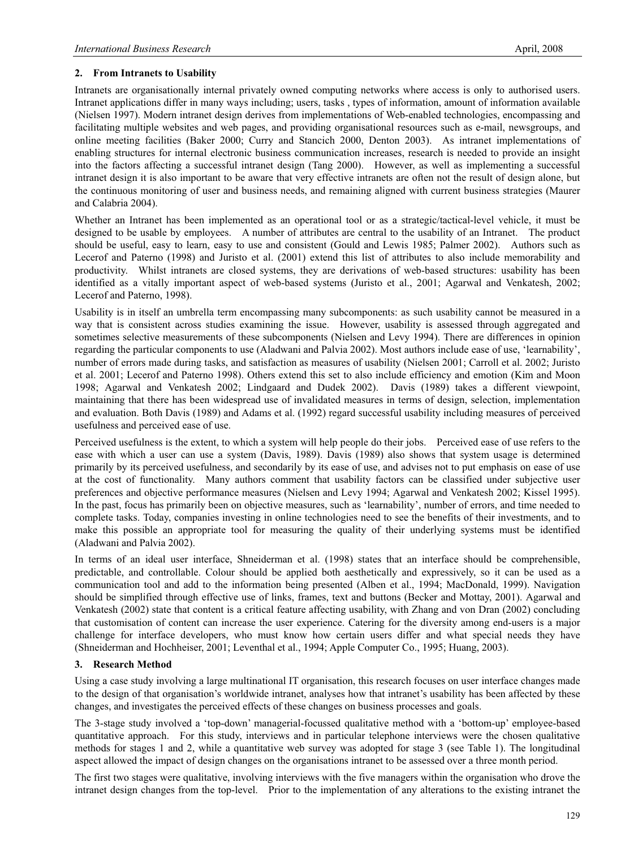### **2. From Intranets to Usability**

Intranets are organisationally internal privately owned computing networks where access is only to authorised users. Intranet applications differ in many ways including; users, tasks , types of information, amount of information available (Nielsen 1997). Modern intranet design derives from implementations of Web-enabled technologies, encompassing and facilitating multiple websites and web pages, and providing organisational resources such as e-mail, newsgroups, and online meeting facilities (Baker 2000; Curry and Stancich 2000, Denton 2003). As intranet implementations of enabling structures for internal electronic business communication increases, research is needed to provide an insight into the factors affecting a successful intranet design (Tang 2000). However, as well as implementing a successful intranet design it is also important to be aware that very effective intranets are often not the result of design alone, but the continuous monitoring of user and business needs, and remaining aligned with current business strategies (Maurer and Calabria 2004).

Whether an Intranet has been implemented as an operational tool or as a strategic/tactical-level vehicle, it must be designed to be usable by employees. A number of attributes are central to the usability of an Intranet. The product should be useful, easy to learn, easy to use and consistent (Gould and Lewis 1985; Palmer 2002). Authors such as Lecerof and Paterno (1998) and Juristo et al. (2001) extend this list of attributes to also include memorability and productivity. Whilst intranets are closed systems, they are derivations of web-based structures: usability has been identified as a vitally important aspect of web-based systems (Juristo et al., 2001; Agarwal and Venkatesh, 2002; Lecerof and Paterno, 1998).

Usability is in itself an umbrella term encompassing many subcomponents: as such usability cannot be measured in a way that is consistent across studies examining the issue. However, usability is assessed through aggregated and sometimes selective measurements of these subcomponents (Nielsen and Levy 1994). There are differences in opinion regarding the particular components to use (Aladwani and Palvia 2002). Most authors include ease of use, 'learnability', number of errors made during tasks, and satisfaction as measures of usability (Nielsen 2001; Carroll et al. 2002; Juristo et al. 2001; Lecerof and Paterno 1998). Others extend this set to also include efficiency and emotion (Kim and Moon 1998; Agarwal and Venkatesh 2002; Lindgaard and Dudek 2002). Davis (1989) takes a different viewpoint, maintaining that there has been widespread use of invalidated measures in terms of design, selection, implementation and evaluation. Both Davis (1989) and Adams et al. (1992) regard successful usability including measures of perceived usefulness and perceived ease of use.

Perceived usefulness is the extent, to which a system will help people do their jobs. Perceived ease of use refers to the ease with which a user can use a system (Davis, 1989). Davis (1989) also shows that system usage is determined primarily by its perceived usefulness, and secondarily by its ease of use, and advises not to put emphasis on ease of use at the cost of functionality. Many authors comment that usability factors can be classified under subjective user preferences and objective performance measures (Nielsen and Levy 1994; Agarwal and Venkatesh 2002; Kissel 1995). In the past, focus has primarily been on objective measures, such as 'learnability', number of errors, and time needed to complete tasks. Today, companies investing in online technologies need to see the benefits of their investments, and to make this possible an appropriate tool for measuring the quality of their underlying systems must be identified (Aladwani and Palvia 2002).

In terms of an ideal user interface, Shneiderman et al. (1998) states that an interface should be comprehensible, predictable, and controllable. Colour should be applied both aesthetically and expressively, so it can be used as a communication tool and add to the information being presented (Alben et al., 1994; MacDonald, 1999). Navigation should be simplified through effective use of links, frames, text and buttons (Becker and Mottay, 2001). Agarwal and Venkatesh (2002) state that content is a critical feature affecting usability, with Zhang and von Dran (2002) concluding that customisation of content can increase the user experience. Catering for the diversity among end-users is a major challenge for interface developers, who must know how certain users differ and what special needs they have (Shneiderman and Hochheiser, 2001; Leventhal et al., 1994; Apple Computer Co., 1995; Huang, 2003).

### **3. Research Method**

Using a case study involving a large multinational IT organisation, this research focuses on user interface changes made to the design of that organisation's worldwide intranet, analyses how that intranet's usability has been affected by these changes, and investigates the perceived effects of these changes on business processes and goals.

The 3-stage study involved a 'top-down' managerial-focussed qualitative method with a 'bottom-up' employee-based quantitative approach. For this study, interviews and in particular telephone interviews were the chosen qualitative methods for stages 1 and 2, while a quantitative web survey was adopted for stage 3 (see Table 1). The longitudinal aspect allowed the impact of design changes on the organisations intranet to be assessed over a three month period.

The first two stages were qualitative, involving interviews with the five managers within the organisation who drove the intranet design changes from the top-level. Prior to the implementation of any alterations to the existing intranet the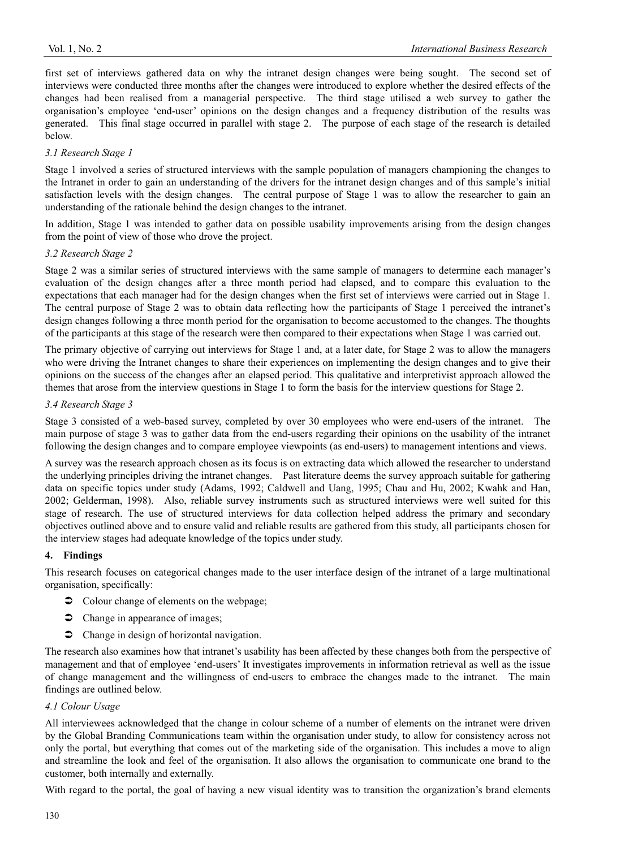first set of interviews gathered data on why the intranet design changes were being sought. The second set of interviews were conducted three months after the changes were introduced to explore whether the desired effects of the changes had been realised from a managerial perspective. The third stage utilised a web survey to gather the organisation's employee 'end-user' opinions on the design changes and a frequency distribution of the results was generated. This final stage occurred in parallel with stage 2. The purpose of each stage of the research is detailed below.

# *3.1 Research Stage 1*

Stage 1 involved a series of structured interviews with the sample population of managers championing the changes to the Intranet in order to gain an understanding of the drivers for the intranet design changes and of this sample's initial satisfaction levels with the design changes. The central purpose of Stage 1 was to allow the researcher to gain an understanding of the rationale behind the design changes to the intranet.

In addition, Stage 1 was intended to gather data on possible usability improvements arising from the design changes from the point of view of those who drove the project.

# *3.2 Research Stage 2*

Stage 2 was a similar series of structured interviews with the same sample of managers to determine each manager's evaluation of the design changes after a three month period had elapsed, and to compare this evaluation to the expectations that each manager had for the design changes when the first set of interviews were carried out in Stage 1. The central purpose of Stage 2 was to obtain data reflecting how the participants of Stage 1 perceived the intranet's design changes following a three month period for the organisation to become accustomed to the changes. The thoughts of the participants at this stage of the research were then compared to their expectations when Stage 1 was carried out.

The primary objective of carrying out interviews for Stage 1 and, at a later date, for Stage 2 was to allow the managers who were driving the Intranet changes to share their experiences on implementing the design changes and to give their opinions on the success of the changes after an elapsed period. This qualitative and interpretivist approach allowed the themes that arose from the interview questions in Stage 1 to form the basis for the interview questions for Stage 2.

# *3.4 Research Stage 3*

Stage 3 consisted of a web-based survey, completed by over 30 employees who were end-users of the intranet. The main purpose of stage 3 was to gather data from the end-users regarding their opinions on the usability of the intranet following the design changes and to compare employee viewpoints (as end-users) to management intentions and views.

A survey was the research approach chosen as its focus is on extracting data which allowed the researcher to understand the underlying principles driving the intranet changes. Past literature deems the survey approach suitable for gathering data on specific topics under study (Adams, 1992; Caldwell and Uang, 1995; Chau and Hu, 2002; Kwahk and Han, 2002; Gelderman, 1998). Also, reliable survey instruments such as structured interviews were well suited for this stage of research. The use of structured interviews for data collection helped address the primary and secondary objectives outlined above and to ensure valid and reliable results are gathered from this study, all participants chosen for the interview stages had adequate knowledge of the topics under study.

# **4. Findings**

This research focuses on categorical changes made to the user interface design of the intranet of a large multinational organisation, specifically:

- $\bullet$  Colour change of elements on the webpage;
- $\Rightarrow$  Change in appearance of images;
- $\bullet$  Change in design of horizontal navigation.

The research also examines how that intranet's usability has been affected by these changes both from the perspective of management and that of employee 'end-users' It investigates improvements in information retrieval as well as the issue of change management and the willingness of end-users to embrace the changes made to the intranet. The main findings are outlined below.

# *4.1 Colour Usage*

All interviewees acknowledged that the change in colour scheme of a number of elements on the intranet were driven by the Global Branding Communications team within the organisation under study, to allow for consistency across not only the portal, but everything that comes out of the marketing side of the organisation. This includes a move to align and streamline the look and feel of the organisation. It also allows the organisation to communicate one brand to the customer, both internally and externally.

With regard to the portal, the goal of having a new visual identity was to transition the organization's brand elements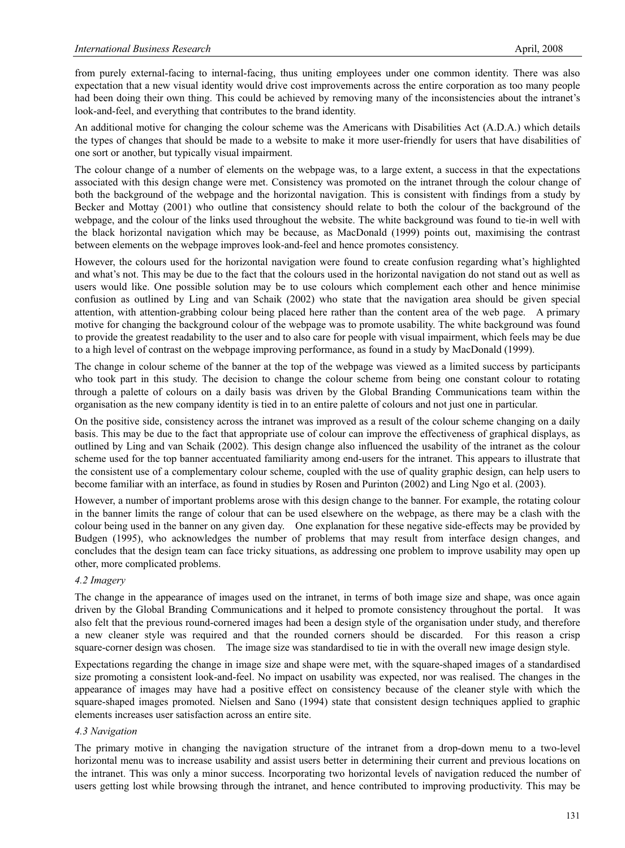from purely external-facing to internal-facing, thus uniting employees under one common identity. There was also expectation that a new visual identity would drive cost improvements across the entire corporation as too many people had been doing their own thing. This could be achieved by removing many of the inconsistencies about the intranet's look-and-feel, and everything that contributes to the brand identity.

An additional motive for changing the colour scheme was the Americans with Disabilities Act (A.D.A.) which details the types of changes that should be made to a website to make it more user-friendly for users that have disabilities of one sort or another, but typically visual impairment.

The colour change of a number of elements on the webpage was, to a large extent, a success in that the expectations associated with this design change were met. Consistency was promoted on the intranet through the colour change of both the background of the webpage and the horizontal navigation. This is consistent with findings from a study by Becker and Mottay (2001) who outline that consistency should relate to both the colour of the background of the webpage, and the colour of the links used throughout the website. The white background was found to tie-in well with the black horizontal navigation which may be because, as MacDonald (1999) points out, maximising the contrast between elements on the webpage improves look-and-feel and hence promotes consistency.

However, the colours used for the horizontal navigation were found to create confusion regarding what's highlighted and what's not. This may be due to the fact that the colours used in the horizontal navigation do not stand out as well as users would like. One possible solution may be to use colours which complement each other and hence minimise confusion as outlined by Ling and van Schaik (2002) who state that the navigation area should be given special attention, with attention-grabbing colour being placed here rather than the content area of the web page. A primary motive for changing the background colour of the webpage was to promote usability. The white background was found to provide the greatest readability to the user and to also care for people with visual impairment, which feels may be due to a high level of contrast on the webpage improving performance, as found in a study by MacDonald (1999).

The change in colour scheme of the banner at the top of the webpage was viewed as a limited success by participants who took part in this study. The decision to change the colour scheme from being one constant colour to rotating through a palette of colours on a daily basis was driven by the Global Branding Communications team within the organisation as the new company identity is tied in to an entire palette of colours and not just one in particular.

On the positive side, consistency across the intranet was improved as a result of the colour scheme changing on a daily basis. This may be due to the fact that appropriate use of colour can improve the effectiveness of graphical displays, as outlined by Ling and van Schaik (2002). This design change also influenced the usability of the intranet as the colour scheme used for the top banner accentuated familiarity among end-users for the intranet. This appears to illustrate that the consistent use of a complementary colour scheme, coupled with the use of quality graphic design, can help users to become familiar with an interface, as found in studies by Rosen and Purinton (2002) and Ling Ngo et al. (2003).

However, a number of important problems arose with this design change to the banner. For example, the rotating colour in the banner limits the range of colour that can be used elsewhere on the webpage, as there may be a clash with the colour being used in the banner on any given day. One explanation for these negative side-effects may be provided by Budgen (1995), who acknowledges the number of problems that may result from interface design changes, and concludes that the design team can face tricky situations, as addressing one problem to improve usability may open up other, more complicated problems.

# *4.2 Imagery*

The change in the appearance of images used on the intranet, in terms of both image size and shape, was once again driven by the Global Branding Communications and it helped to promote consistency throughout the portal. It was also felt that the previous round-cornered images had been a design style of the organisation under study, and therefore a new cleaner style was required and that the rounded corners should be discarded. For this reason a crisp square-corner design was chosen. The image size was standardised to tie in with the overall new image design style.

Expectations regarding the change in image size and shape were met, with the square-shaped images of a standardised size promoting a consistent look-and-feel. No impact on usability was expected, nor was realised. The changes in the appearance of images may have had a positive effect on consistency because of the cleaner style with which the square-shaped images promoted. Nielsen and Sano (1994) state that consistent design techniques applied to graphic elements increases user satisfaction across an entire site.

### *4.3 Navigation*

The primary motive in changing the navigation structure of the intranet from a drop-down menu to a two-level horizontal menu was to increase usability and assist users better in determining their current and previous locations on the intranet. This was only a minor success. Incorporating two horizontal levels of navigation reduced the number of users getting lost while browsing through the intranet, and hence contributed to improving productivity. This may be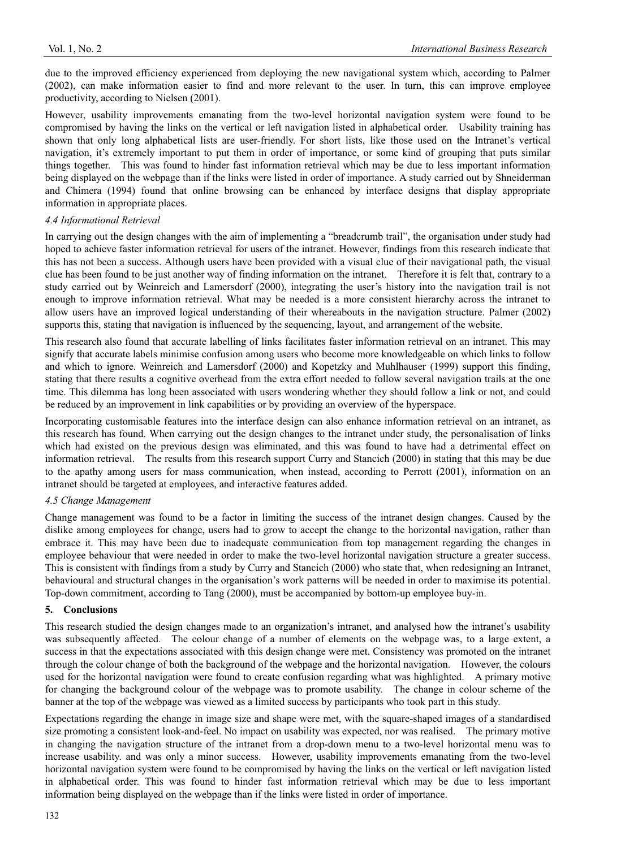due to the improved efficiency experienced from deploying the new navigational system which, according to Palmer (2002), can make information easier to find and more relevant to the user. In turn, this can improve employee productivity, according to Nielsen (2001).

However, usability improvements emanating from the two-level horizontal navigation system were found to be compromised by having the links on the vertical or left navigation listed in alphabetical order. Usability training has shown that only long alphabetical lists are user-friendly. For short lists, like those used on the Intranet's vertical navigation, it's extremely important to put them in order of importance, or some kind of grouping that puts similar things together. This was found to hinder fast information retrieval which may be due to less important information being displayed on the webpage than if the links were listed in order of importance. A study carried out by Shneiderman and Chimera (1994) found that online browsing can be enhanced by interface designs that display appropriate information in appropriate places.

### *4.4 Informational Retrieval*

In carrying out the design changes with the aim of implementing a "breadcrumb trail", the organisation under study had hoped to achieve faster information retrieval for users of the intranet. However, findings from this research indicate that this has not been a success. Although users have been provided with a visual clue of their navigational path, the visual clue has been found to be just another way of finding information on the intranet. Therefore it is felt that, contrary to a study carried out by Weinreich and Lamersdorf (2000), integrating the user's history into the navigation trail is not enough to improve information retrieval. What may be needed is a more consistent hierarchy across the intranet to allow users have an improved logical understanding of their whereabouts in the navigation structure. Palmer (2002) supports this, stating that navigation is influenced by the sequencing, layout, and arrangement of the website.

This research also found that accurate labelling of links facilitates faster information retrieval on an intranet. This may signify that accurate labels minimise confusion among users who become more knowledgeable on which links to follow and which to ignore. Weinreich and Lamersdorf (2000) and Kopetzky and Muhlhauser (1999) support this finding, stating that there results a cognitive overhead from the extra effort needed to follow several navigation trails at the one time. This dilemma has long been associated with users wondering whether they should follow a link or not, and could be reduced by an improvement in link capabilities or by providing an overview of the hyperspace.

Incorporating customisable features into the interface design can also enhance information retrieval on an intranet, as this research has found. When carrying out the design changes to the intranet under study, the personalisation of links which had existed on the previous design was eliminated, and this was found to have had a detrimental effect on information retrieval. The results from this research support Curry and Stancich (2000) in stating that this may be due to the apathy among users for mass communication, when instead, according to Perrott (2001), information on an intranet should be targeted at employees, and interactive features added.

### *4.5 Change Management*

Change management was found to be a factor in limiting the success of the intranet design changes. Caused by the dislike among employees for change, users had to grow to accept the change to the horizontal navigation, rather than embrace it. This may have been due to inadequate communication from top management regarding the changes in employee behaviour that were needed in order to make the two-level horizontal navigation structure a greater success. This is consistent with findings from a study by Curry and Stancich (2000) who state that, when redesigning an Intranet, behavioural and structural changes in the organisation's work patterns will be needed in order to maximise its potential. Top-down commitment, according to Tang (2000), must be accompanied by bottom-up employee buy-in.

### **5. Conclusions**

This research studied the design changes made to an organization's intranet, and analysed how the intranet's usability was subsequently affected. The colour change of a number of elements on the webpage was, to a large extent, a success in that the expectations associated with this design change were met. Consistency was promoted on the intranet through the colour change of both the background of the webpage and the horizontal navigation. However, the colours used for the horizontal navigation were found to create confusion regarding what was highlighted. A primary motive for changing the background colour of the webpage was to promote usability. The change in colour scheme of the banner at the top of the webpage was viewed as a limited success by participants who took part in this study.

Expectations regarding the change in image size and shape were met, with the square-shaped images of a standardised size promoting a consistent look-and-feel. No impact on usability was expected, nor was realised. The primary motive in changing the navigation structure of the intranet from a drop-down menu to a two-level horizontal menu was to increase usability. and was only a minor success. However, usability improvements emanating from the two-level horizontal navigation system were found to be compromised by having the links on the vertical or left navigation listed in alphabetical order. This was found to hinder fast information retrieval which may be due to less important information being displayed on the webpage than if the links were listed in order of importance.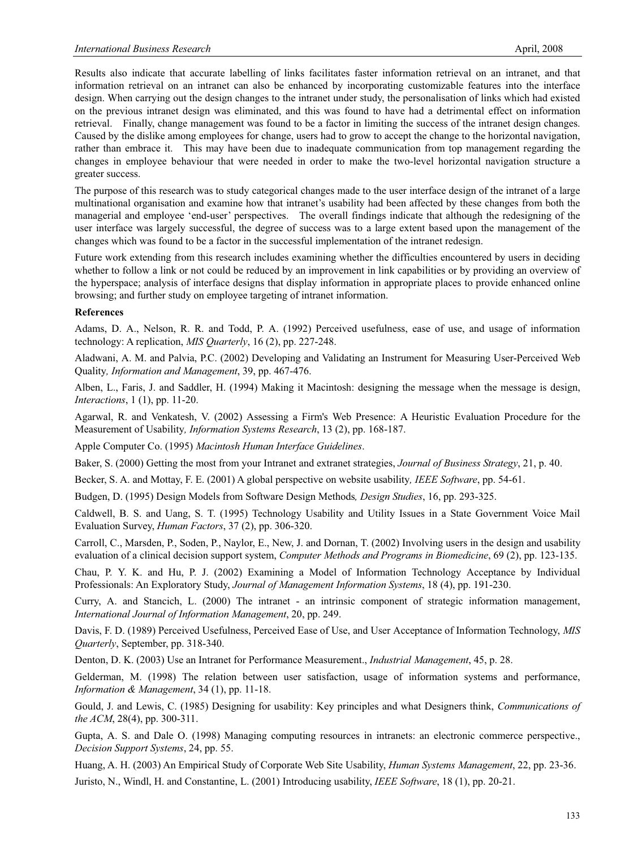Results also indicate that accurate labelling of links facilitates faster information retrieval on an intranet, and that information retrieval on an intranet can also be enhanced by incorporating customizable features into the interface design. When carrying out the design changes to the intranet under study, the personalisation of links which had existed on the previous intranet design was eliminated, and this was found to have had a detrimental effect on information retrieval. Finally, change management was found to be a factor in limiting the success of the intranet design changes. Caused by the dislike among employees for change, users had to grow to accept the change to the horizontal navigation, rather than embrace it. This may have been due to inadequate communication from top management regarding the changes in employee behaviour that were needed in order to make the two-level horizontal navigation structure a greater success.

The purpose of this research was to study categorical changes made to the user interface design of the intranet of a large multinational organisation and examine how that intranet's usability had been affected by these changes from both the managerial and employee 'end-user' perspectives. The overall findings indicate that although the redesigning of the user interface was largely successful, the degree of success was to a large extent based upon the management of the changes which was found to be a factor in the successful implementation of the intranet redesign.

Future work extending from this research includes examining whether the difficulties encountered by users in deciding whether to follow a link or not could be reduced by an improvement in link capabilities or by providing an overview of the hyperspace; analysis of interface designs that display information in appropriate places to provide enhanced online browsing; and further study on employee targeting of intranet information.

#### **References**

Adams, D. A., Nelson, R. R. and Todd, P. A. (1992) Perceived usefulness, ease of use, and usage of information technology: A replication, *MIS Quarterly*, 16 (2), pp. 227-248.

Aladwani, A. M. and Palvia, P.C. (2002) Developing and Validating an Instrument for Measuring User-Perceived Web Quality*, Information and Management*, 39, pp. 467-476.

Alben, L., Faris, J. and Saddler, H. (1994) Making it Macintosh: designing the message when the message is design, *Interactions*, 1 (1), pp. 11-20.

Agarwal, R. and Venkatesh, V. (2002) Assessing a Firm's Web Presence: A Heuristic Evaluation Procedure for the Measurement of Usability*, Information Systems Research*, 13 (2), pp. 168-187.

Apple Computer Co. (1995) *Macintosh Human Interface Guidelines*.

Baker, S. (2000) Getting the most from your Intranet and extranet strategies, *Journal of Business Strategy*, 21, p. 40.

Becker, S. A. and Mottay, F. E. (2001) A global perspective on website usability*, IEEE Software*, pp. 54-61.

Budgen, D. (1995) Design Models from Software Design Methods*, Design Studies*, 16, pp. 293-325.

Caldwell, B. S. and Uang, S. T. (1995) Technology Usability and Utility Issues in a State Government Voice Mail Evaluation Survey, *Human Factors*, 37 (2), pp. 306-320.

Carroll, C., Marsden, P., Soden, P., Naylor, E., New, J. and Dornan, T. (2002) Involving users in the design and usability evaluation of a clinical decision support system, *Computer Methods and Programs in Biomedicine*, 69 (2), pp. 123-135.

Chau, P. Y. K. and Hu, P. J. (2002) Examining a Model of Information Technology Acceptance by Individual Professionals: An Exploratory Study, *Journal of Management Information Systems*, 18 (4), pp. 191-230.

Curry, A. and Stancich, L. (2000) The intranet - an intrinsic component of strategic information management, *International Journal of Information Management*, 20, pp. 249.

Davis, F. D. (1989) Perceived Usefulness, Perceived Ease of Use, and User Acceptance of Information Technology, *MIS Quarterly*, September, pp. 318-340.

Denton, D. K. (2003) Use an Intranet for Performance Measurement., *Industrial Management*, 45, p. 28.

Gelderman, M. (1998) The relation between user satisfaction, usage of information systems and performance, *Information & Management*, 34 (1), pp. 11-18.

Gould, J. and Lewis, C. (1985) Designing for usability: Key principles and what Designers think, *Communications of the ACM*, 28(4), pp. 300-311.

Gupta, A. S. and Dale O. (1998) Managing computing resources in intranets: an electronic commerce perspective., *Decision Support Systems*, 24, pp. 55.

Huang, A. H. (2003) An Empirical Study of Corporate Web Site Usability, *Human Systems Management*, 22, pp. 23-36.

Juristo, N., Windl, H. and Constantine, L. (2001) Introducing usability, *IEEE Software*, 18 (1), pp. 20-21.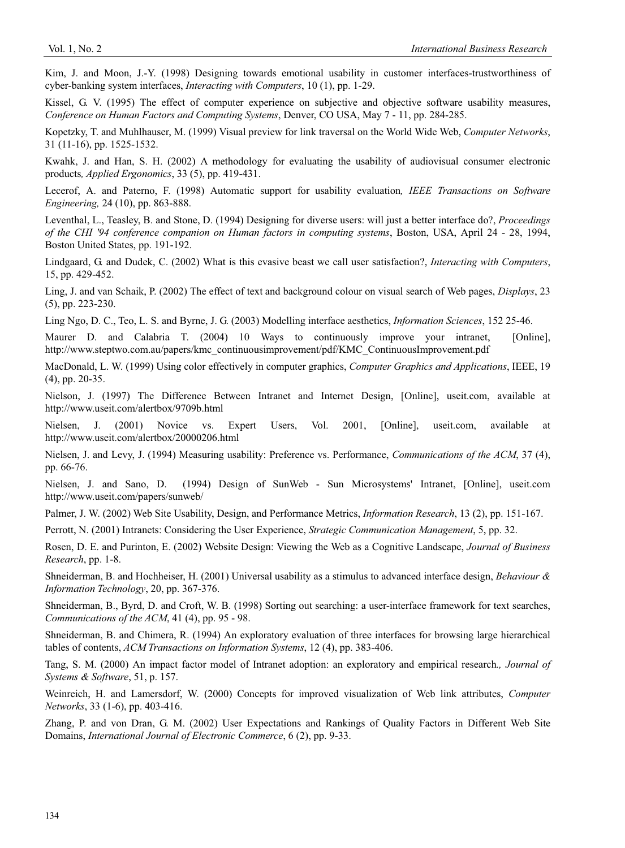Kim, J. and Moon, J.-Y. (1998) Designing towards emotional usability in customer interfaces-trustworthiness of cyber-banking system interfaces, *Interacting with Computers*, 10 (1), pp. 1-29.

Kissel, G. V. (1995) The effect of computer experience on subjective and objective software usability measures, *Conference on Human Factors and Computing Systems*, Denver, CO USA, May 7 - 11, pp. 284-285.

Kopetzky, T. and Muhlhauser, M. (1999) Visual preview for link traversal on the World Wide Web, *Computer Networks*, 31 (11-16), pp. 1525-1532.

Kwahk, J. and Han, S. H. (2002) A methodology for evaluating the usability of audiovisual consumer electronic products*, Applied Ergonomics*, 33 (5), pp. 419-431.

Lecerof, A. and Paterno, F. (1998) Automatic support for usability evaluation*, IEEE Transactions on Software Engineering,* 24 (10), pp. 863-888.

Leventhal, L., Teasley, B. and Stone, D. (1994) Designing for diverse users: will just a better interface do?, *Proceedings of the CHI '94 conference companion on Human factors in computing systems*, Boston, USA, April 24 - 28, 1994, Boston United States, pp. 191-192.

Lindgaard, G. and Dudek, C. (2002) What is this evasive beast we call user satisfaction?, *Interacting with Computers*, 15, pp. 429-452.

Ling, J. and van Schaik, P. (2002) The effect of text and background colour on visual search of Web pages, *Displays*, 23 (5), pp. 223-230.

Ling Ngo, D. C., Teo, L. S. and Byrne, J. G. (2003) Modelling interface aesthetics, *Information Sciences*, 152 25-46.

Maurer D. and Calabria T. (2004) 10 Ways to continuously improve your intranet, [Online], http://www.steptwo.com.au/papers/kmc\_continuousimprovement/pdf/KMC\_ContinuousImprovement.pdf

MacDonald, L. W. (1999) Using color effectively in computer graphics, *Computer Graphics and Applications*, IEEE, 19 (4), pp. 20-35.

Nielson, J. (1997) The Difference Between Intranet and Internet Design, [Online], useit.com, available at http://www.useit.com/alertbox/9709b.html

Nielsen, J. (2001) Novice vs. Expert Users, Vol. 2001, [Online], useit.com, available at http://www.useit.com/alertbox/20000206.html

Nielsen, J. and Levy, J. (1994) Measuring usability: Preference vs. Performance, *Communications of the ACM*, 37 (4), pp. 66-76.

Nielsen, J. and Sano, D. (1994) Design of SunWeb - Sun Microsystems' Intranet, [Online], useit.com http://www.useit.com/papers/sunweb/

Palmer, J. W. (2002) Web Site Usability, Design, and Performance Metrics, *Information Research*, 13 (2), pp. 151-167.

Perrott, N. (2001) Intranets: Considering the User Experience, *Strategic Communication Management*, 5, pp. 32.

Rosen, D. E. and Purinton, E. (2002) Website Design: Viewing the Web as a Cognitive Landscape, *Journal of Business Research*, pp. 1-8.

Shneiderman, B. and Hochheiser, H. (2001) Universal usability as a stimulus to advanced interface design, *Behaviour & Information Technology*, 20, pp. 367-376.

Shneiderman, B., Byrd, D. and Croft, W. B. (1998) Sorting out searching: a user-interface framework for text searches, *Communications of the ACM*, 41 (4), pp. 95 - 98.

Shneiderman, B. and Chimera, R. (1994) An exploratory evaluation of three interfaces for browsing large hierarchical tables of contents, *ACM Transactions on Information Systems*, 12 (4), pp. 383-406.

Tang, S. M. (2000) An impact factor model of Intranet adoption: an exploratory and empirical research*., Journal of Systems & Software*, 51, p. 157.

Weinreich, H. and Lamersdorf, W. (2000) Concepts for improved visualization of Web link attributes, *Computer Networks*, 33 (1-6), pp. 403-416.

Zhang, P. and von Dran, G. M. (2002) User Expectations and Rankings of Quality Factors in Different Web Site Domains, *International Journal of Electronic Commerce*, 6 (2), pp. 9-33.